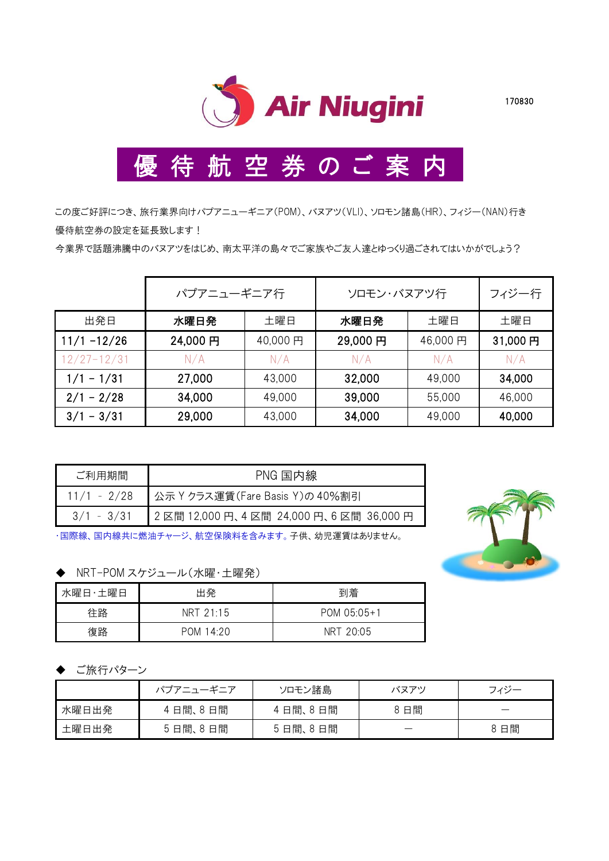

## 優 待 航 空 券 の ご 案 内

この度ご好評につき、旅行業界向けパプアニューギニア(POM)、バヌアツ(VLI)、ソロモン諸島(HIR)、フィジー(NAN)行き 優待航空券の設定を延長致します!

今業界で話題沸騰中のバヌアツをはじめ、南太平洋の島々でご家族やご友人達とゆっくり過ごされてはいかがでしょう?

|                 | パプアニューギニア行 |         | ソロモン・バヌアツ行 | フィジー行   |         |
|-----------------|------------|---------|------------|---------|---------|
| 出発日             | 水曜日発       | 土曜日     | 水曜日発       | 土曜日     | 土曜日     |
| $11/1 - 12/26$  | 24,000円    | 40,000円 | 29,000円    | 46,000円 | 31,000円 |
| $12/27 - 12/31$ | N/A        | N/A     | N/A        | N/A     | N/A     |
| $1/1 - 1/31$    | 27,000     | 43,000  | 32,000     | 49,000  | 34,000  |
| $2/1 - 2/28$    | 34,000     | 49,000  | 39,000     | 55,000  | 46,000  |
| $3/1 - 3/31$    | 29,000     | 43,000  | 34,000     | 49,000  | 40,000  |

| ご利用期間        | PNG 国内線                                |
|--------------|----------------------------------------|
| 11/1 - 2/28  | 公示 Y クラス運賃(Fare Basis Y)の 40%割引        |
| $3/1 - 3/31$ | 2区間 12,000 円、4区間 24,000 円、6区間 36,000 円 |

・国際線、国内線共に燃油チャージ、航空保険料を含みます。子供、幼児運賃はありません。

◆ NRT-POM スケジュール(水曜·土曜発)

| 水曜日・土曜日 | 出発                  | 到着          |
|---------|---------------------|-------------|
| 往路      | $NRT$ 21:15         | POM 05:05+1 |
| 復路      | 14.20<br><b>POM</b> | NRT 20:05   |

## ご旅行パターン

|       | パプアニューギニア | ソロモン諸島  | バヌアツ | フィジー |
|-------|-----------|---------|------|------|
| 水曜日出発 | 4日間、8日間   | 4日間、8日間 | 8 日間 |      |
| 土曜日出発 | 5日間、8日間   | 5日間、8日間 |      | 8 日間 |

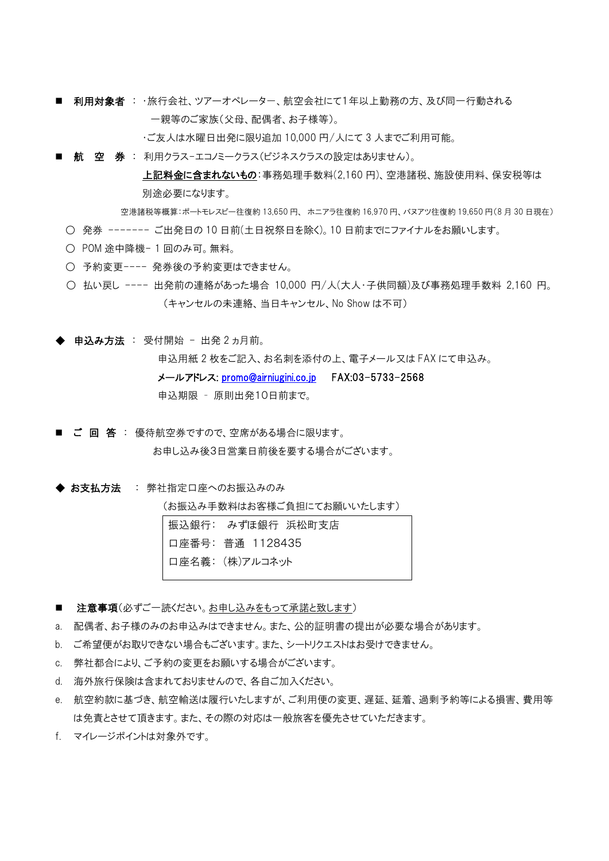■ 利用対象者 : ・旅行会社、ツアーオペレーター、航空会社にて1年以上勤務の方、及び同一行動される 一親等のご家族(父母、配偶者、お子様等)。

・ご友人は水曜日出発に限り追加 10,000 円/人にて 3 人までご利用可能。

■ 航 空 券 : 利用クラス-エコノミークラス(ビジネスクラスの設定はありません)。

上記料金に含まれないもの:事務処理手数料(2,160 円)、空港諸税、施設使用料、保安税等は 別途必要になります。

空港諸税等概算:ポートモレスビー往復約 13,650 円、 ホニアラ往復約 16,970 円、バヌアツ往復約 19,650 円(8 月 30 日現在) ○ 発券 ------- ご出発日の 10 日前(土日祝祭日を除く)。10 日前までにファイナルをお願いします。

- POM 途中降機- 1 回のみ可。無料。
- 予約変更---- 発券後の予約変更はできません。
- 払い戻し ---- 出発前の連絡があった場合 10,000 円/人(大人・子供同額)及び事務処理手数料 2,160 円。 (キャンセルの未連絡、当日キャンセル、No Show は不可)

◆ 申込み方法 : 受付開始 - 出発 2 ヵ月前。

申込用紙 2 枚をご記入、お名刺を添付の上、電子メール又は FAX にて申込み。 メールアドレス: [promo@airniugini.co.jp](mailto:promo@airniugini.co.jp) FAX:03-5733-2568 申込期限 – 原則出発10日前まで。

- ご 回 答 : 優待航空券ですので、空席がある場合に限ります。 お申し込み後3日営業日前後を要する場合がございます。
- ◆ お支払方法 : 弊社指定口座へのお振込みのみ

(お振込み手数料はお客様ご負担にてお願いいたします)

|  | │振込銀行: みずほ銀行 浜松町支店 |  |
|--|--------------------|--|
|  | 口座番号: 普通 1128435   |  |
|  | 口座名義: (株)アルコネット    |  |

- 注意事項(必ずご一読ください。お申し込みをもって承諾と致します)
- a. 配偶者、お子様のみのお申込みはできません。また、公的証明書の提出が必要な場合があります。
- b. ご希望便がお取りできない場合もございます。また、シートリクエストはお受けできません。
- c. 弊社都合により、ご予約の変更をお願いする場合がございます。
- d. 海外旅行保険は含まれておりませんので、各自ご加入ください。
- e. 航空約款に基づき、航空輸送は履行いたしますが、ご利用便の変更、遅延、延着、過剰予約等による損害、費用等 は免責とさせて頂きます。また、その際の対応は一般旅客を優先させていただきます。
- f. マイレージポイントは対象外です。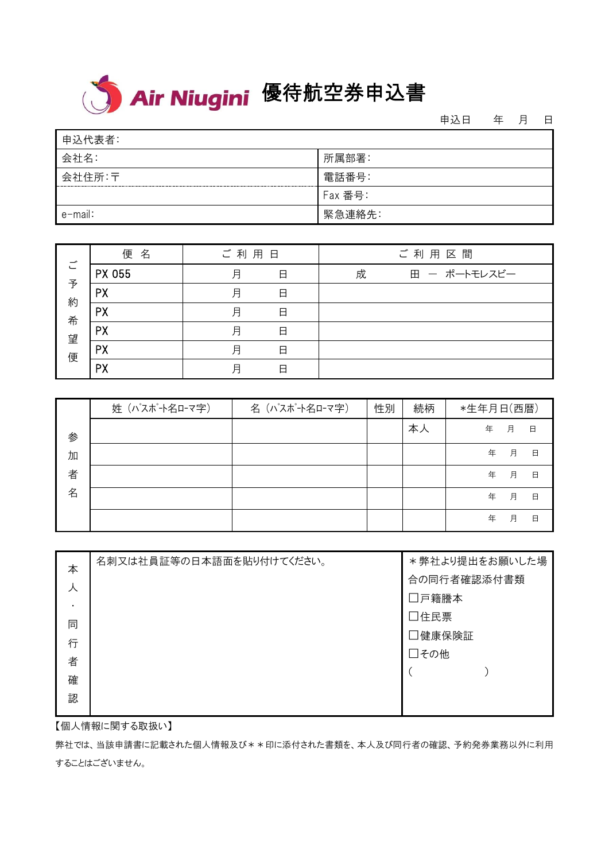## <mark>< > Air Niugini</mark> 優待航空券申込書

申込日 年 月 日

| 申込代表者:  |         |
|---------|---------|
| 会社名:    | 所属部署:   |
| 会社住所:〒  | 電話番号:   |
|         | Fax 番号: |
| e-mail: | 緊急連絡先:  |

|                  | 名<br>便    | ご利用日 |   |   | ご利用区間        |
|------------------|-----------|------|---|---|--------------|
| ご                | PX 055    | 月    | 日 | 成 | 田 ー ポートモレスビー |
| 予                | <b>PX</b> | 月    | 日 |   |              |
| 約<br>希<br>望<br>便 | <b>PX</b> | 月    | 日 |   |              |
|                  | <b>PX</b> | 月    | 日 |   |              |
|                  | <b>PX</b> | 月    | 日 |   |              |
|                  | PX        | 月    | 日 |   |              |

|   | 姓 (パスポート名ローマ字) | 名 (パスポート名ローマ字) | 性別 | 続柄 | *生年月日(西暦) |   |   |
|---|----------------|----------------|----|----|-----------|---|---|
| 参 |                |                |    | 本人 | 年         | 月 | 日 |
| 加 |                |                |    |    | 年         | 月 | 日 |
| 者 |                |                |    |    | 年         | 月 | 日 |
| 名 |                |                |    |    | 年         | 月 | 日 |
|   |                |                |    |    | 年         | 月 | 日 |

| 本 | 名刺又は社員証等の日本語面を貼り付けてください。 | * 弊社より提出をお願いした場 |  |
|---|--------------------------|-----------------|--|
| 人 |                          | 合の同行者確認添付書類     |  |
| ٠ |                          | □戸籍謄本           |  |
| 同 |                          | □住民票            |  |
| 行 |                          | □健康保険証          |  |
| 者 |                          | □その他            |  |
| 確 |                          |                 |  |
| 認 |                          |                 |  |
|   |                          |                 |  |

【個人情報に関する取扱い】

弊社では、当該申請書に記載された個人情報及び\*\*印に添付された書類を、本人及び同行者の確認、予約発券業務以外に利用 することはございません。